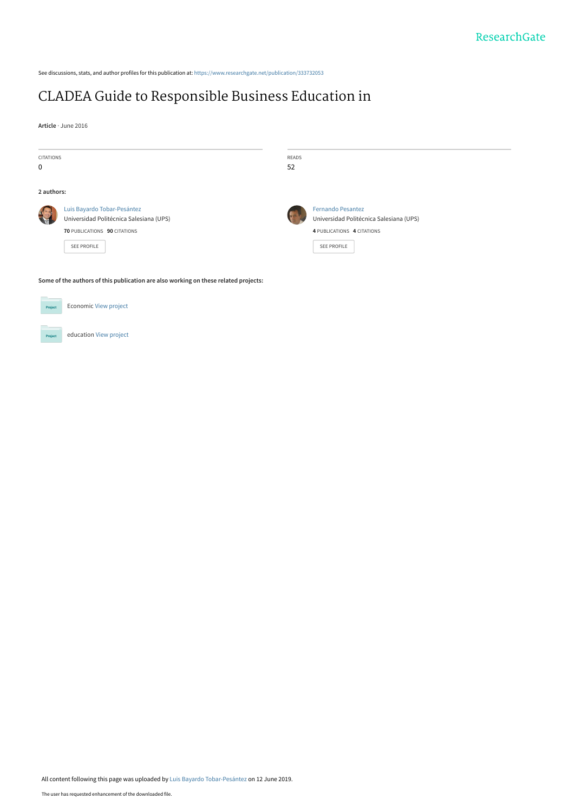See discussions, stats, and author profiles for this publication at: [https://www.researchgate.net/publication/333732053](https://www.researchgate.net/publication/333732053_CLADEA_Guide_to_Responsible_Business_Education_in?enrichId=rgreq-eaecacef55bc4d70fcb765c991d170d8-XXX&enrichSource=Y292ZXJQYWdlOzMzMzczMjA1MztBUzo3NjkwNzM3NDcwOTE0NTZAMTU2MDM3Mjg3ODIxMg%3D%3D&el=1_x_2&_esc=publicationCoverPdf)

## [CLADEA Guide to Responsible Business Education in](https://www.researchgate.net/publication/333732053_CLADEA_Guide_to_Responsible_Business_Education_in?enrichId=rgreq-eaecacef55bc4d70fcb765c991d170d8-XXX&enrichSource=Y292ZXJQYWdlOzMzMzczMjA1MztBUzo3NjkwNzM3NDcwOTE0NTZAMTU2MDM3Mjg3ODIxMg%3D%3D&el=1_x_3&_esc=publicationCoverPdf)

**Article** · June 2016

| <b>CITATIONS</b><br>0                                                               |                                                                                                                              | READS<br>52 |                                                                                                                         |
|-------------------------------------------------------------------------------------|------------------------------------------------------------------------------------------------------------------------------|-------------|-------------------------------------------------------------------------------------------------------------------------|
| 2 authors:                                                                          |                                                                                                                              |             |                                                                                                                         |
|                                                                                     | Luis Bayardo Tobar-Pesántez<br>Universidad Politécnica Salesiana (UPS)<br>70 PUBLICATIONS 90 CITATIONS<br><b>SEE PROFILE</b> |             | <b>Fernando Pesantez</b><br>Universidad Politécnica Salesiana (UPS)<br>4 PUBLICATIONS 4 CITATIONS<br><b>SEE PROFILE</b> |
| Some of the authors of this publication are also working on these related projects: |                                                                                                                              |             |                                                                                                                         |



education [View project](https://www.researchgate.net/project/education-302?enrichId=rgreq-eaecacef55bc4d70fcb765c991d170d8-XXX&enrichSource=Y292ZXJQYWdlOzMzMzczMjA1MztBUzo3NjkwNzM3NDcwOTE0NTZAMTU2MDM3Mjg3ODIxMg%3D%3D&el=1_x_9&_esc=publicationCoverPdf)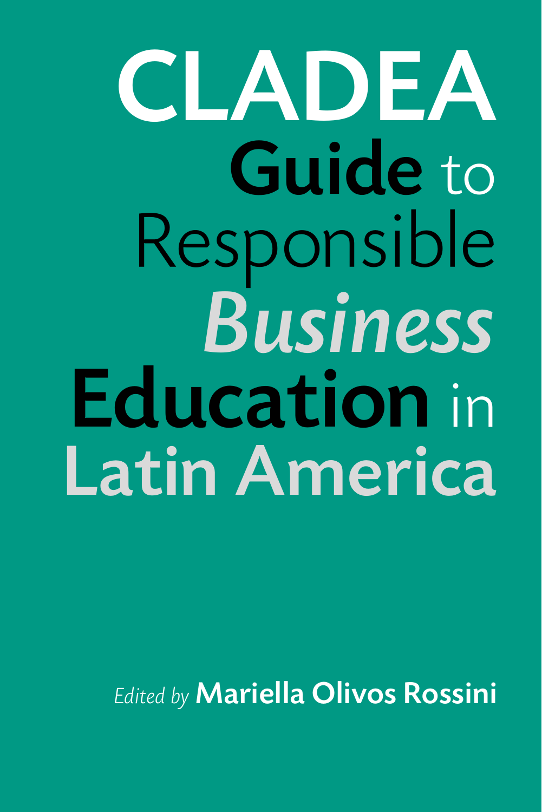# CLADEA Guide to Responsible *Business* Education in Latin America

*Edited by* Mariella Olivos Rossini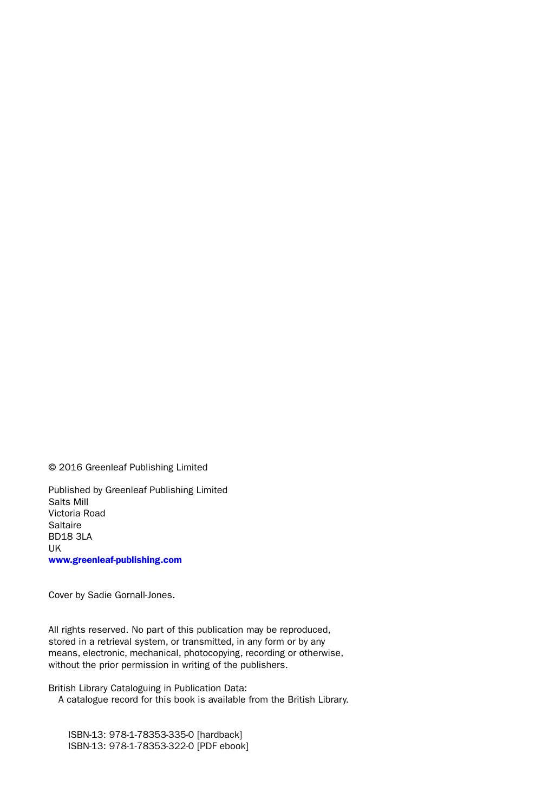© 2016 Greenleaf Publishing Limited

Published by Greenleaf Publishing Limited Salts Mill Victoria Road Saltaire BD18 3LA UK [www.greenleaf-publishing.com](http://www.greenleaf-publishing.com)

Cover by Sadie Gornall-Jones.

All rights reserved. No part of this publication may be reproduced, stored in a retrieval system, or transmitted, in any form or by any means, electronic, mechanical, photocopying, recording or otherwise, without the prior permission in writing of the publishers.

British Library Cataloguing in Publication Data: A catalogue record for this book is available from the British Library.

 ISBN-13: 978-1-78353-335-0 [hardback] ISBN-13: 978-1-78353-322-0 [PDF ebook]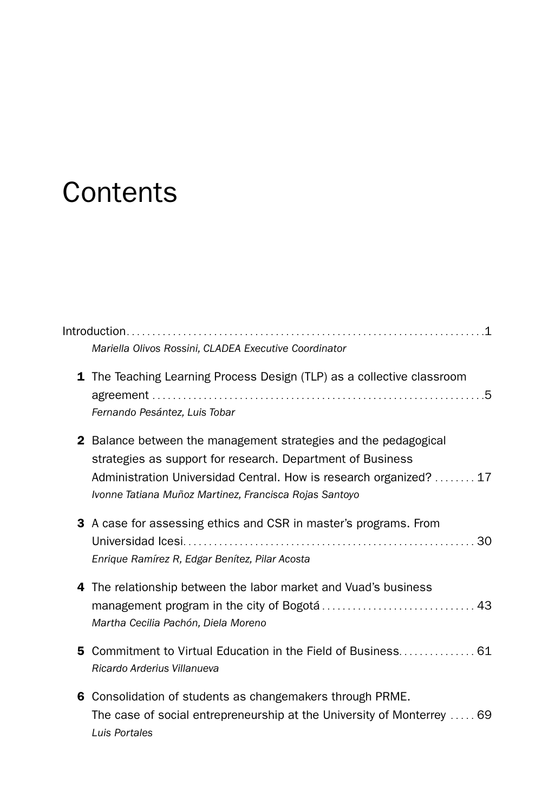# **Contents**

|    | $Introduction \dots 1$<br>Mariella Olivos Rossini, CLADEA Executive Coordinator                                                                                                                                                                                      |
|----|----------------------------------------------------------------------------------------------------------------------------------------------------------------------------------------------------------------------------------------------------------------------|
|    | 1 The Teaching Learning Process Design (TLP) as a collective classroom<br>Fernando Pesántez, Luis Tobar                                                                                                                                                              |
|    | <b>2</b> Balance between the management strategies and the pedagogical<br>strategies as support for research. Department of Business<br>Administration Universidad Central. How is research organized?  17<br>Ivonne Tatiana Muñoz Martinez, Francisca Rojas Santoyo |
|    | 3 A case for assessing ethics and CSR in master's programs. From<br>Enrique Ramírez R, Edgar Benítez, Pilar Acosta                                                                                                                                                   |
|    | 4 The relationship between the labor market and Vuad's business<br>Martha Cecilia Pachón, Diela Moreno                                                                                                                                                               |
| 5. | Commitment to Virtual Education in the Field of Business 61<br>Ricardo Arderius Villanueva                                                                                                                                                                           |
|    | 6 Consolidation of students as changemakers through PRME.<br>The case of social entrepreneurship at the University of Monterrey  69<br>Luis Portales                                                                                                                 |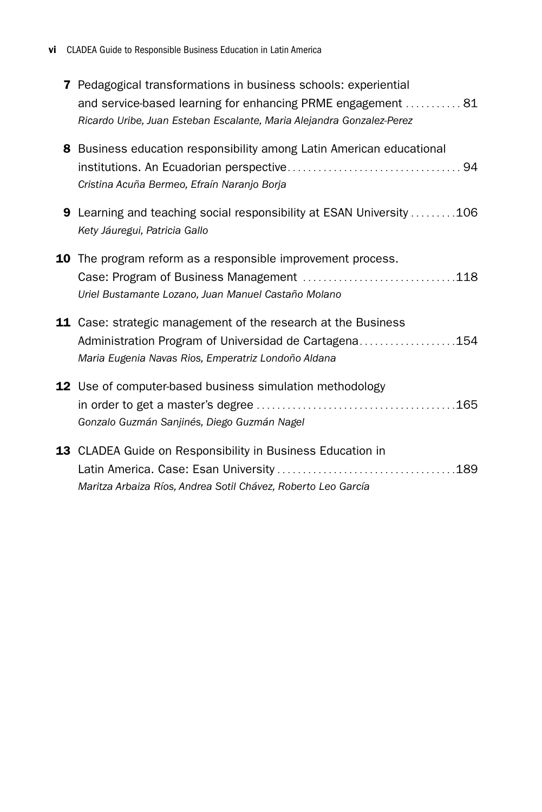| 7 Pedagogical transformations in business schools: experiential<br>and service-based learning for enhancing PRME engagement  81<br>Ricardo Uribe, Juan Esteban Escalante, Maria Alejandra Gonzalez-Perez |
|----------------------------------------------------------------------------------------------------------------------------------------------------------------------------------------------------------|
| <b>8</b> Business education responsibility among Latin American educational<br>Cristina Acuña Bermeo, Efraín Naranjo Borja                                                                               |
| <b>9</b> Learning and teaching social responsibility at ESAN University 106<br>Kety Jáuregui, Patricia Gallo                                                                                             |
| 10 The program reform as a responsible improvement process.<br>Uriel Bustamante Lozano, Juan Manuel Castaño Molano                                                                                       |
| 11 Case: strategic management of the research at the Business<br>Administration Program of Universidad de Cartagena154<br>Maria Eugenia Navas Rios, Emperatriz Londoño Aldana                            |
| 12 Use of computer-based business simulation methodology<br>Gonzalo Guzmán Sanjinés, Diego Guzmán Nagel                                                                                                  |
| 13 CLADEA Guide on Responsibility in Business Education in<br>Maritza Arbaiza Ríos, Andrea Sotil Chávez, Roberto Leo García                                                                              |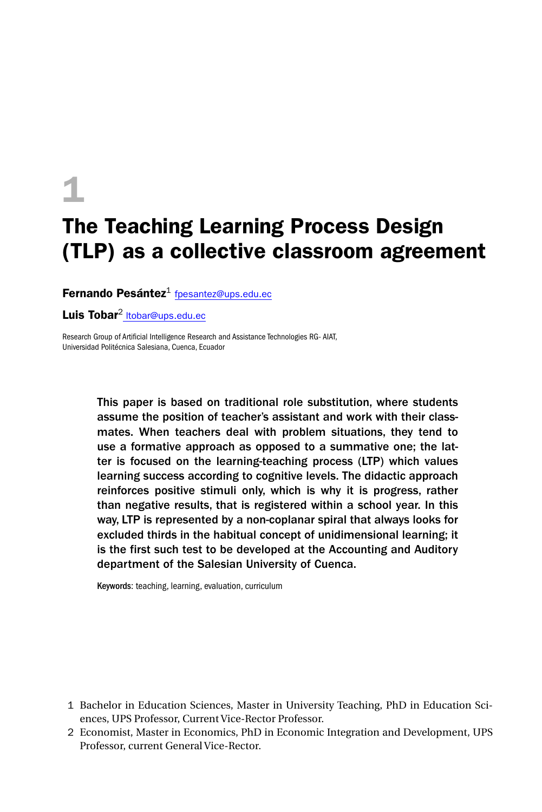# 1

## The Teaching Learning Process Design (TLP) as a collective classroom agreement

Fernando Pesántez $1$  [fpesantez@ups.edu.ec](mailto:fpesantez@ups.edu.ec)

Luis Tobar<sup>2</sup> Itobar@ups.edu.ec

Research Group of Artificial Intelligence Research and Assistance Technologies RG- AIAT, Universidad Politécnica Salesiana, Cuenca, Ecuador

> This paper is based on traditional role substitution, where students assume the position of teacher's assistant and work with their classmates. When teachers deal with problem situations, they tend to use a formative approach as opposed to a summative one; the latter is focused on the learning-teaching process (LTP) which values learning success according to cognitive levels. The didactic approach reinforces positive stimuli only, which is why it is progress, rather than negative results, that is registered within a school year. In this way, LTP is represented by a non-coplanar spiral that always looks for excluded thirds in the habitual concept of unidimensional learning; it is the first such test to be developed at the Accounting and Auditory department of the Salesian University of Cuenca.

Keywords: teaching, learning, evaluation, curriculum

- 1 Bachelor in Education Sciences, Master in University Teaching, PhD in Education Sciences, UPS Professor, Current Vice-Rector Professor.
- 2 Economist, Master in Economics, PhD in Economic Integration and Development, UPS Professor, current General Vice-Rector.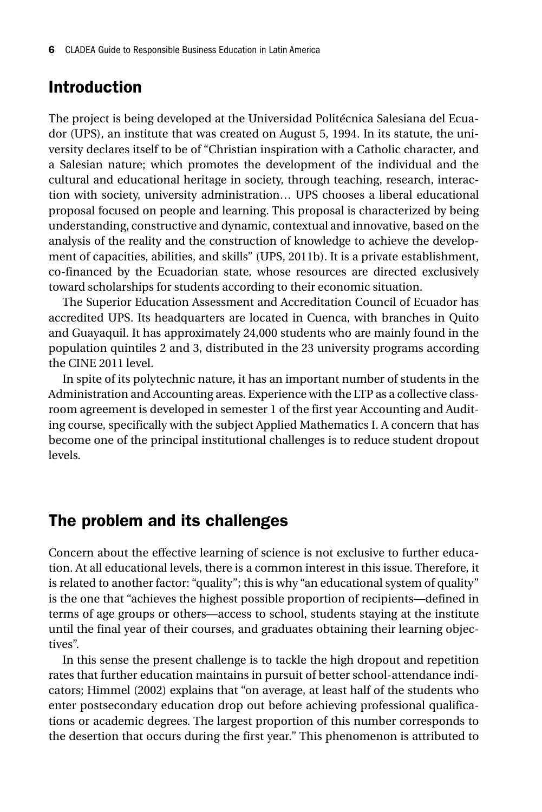#### Introduction

The project is being developed at the Universidad Politécnica Salesiana del Ecuador (UPS), an institute that was created on August 5, 1994. In its statute, the university declares itself to be of "Christian inspiration with a Catholic character, and a Salesian nature; which promotes the development of the individual and the cultural and educational heritage in society, through teaching, research, interaction with society, university administration… UPS chooses a liberal educational proposal focused on people and learning. This proposal is characterized by being understanding, constructive and dynamic, contextual and innovative, based on the analysis of the reality and the construction of knowledge to achieve the development of capacities, abilities, and skills" (UPS, 2011b). It is a private establishment, co-financed by the Ecuadorian state, whose resources are directed exclusively toward scholarships for students according to their economic situation.

The Superior Education Assessment and Accreditation Council of Ecuador has accredited UPS. Its headquarters are located in Cuenca, with branches in Quito and Guayaquil. It has approximately 24,000 students who are mainly found in the population quintiles 2 and 3, distributed in the 23 university programs according the CINE 2011 level.

In spite of its polytechnic nature, it has an important number of students in the Administration and Accounting areas. Experience with the LTP as a collective classroom agreement is developed in semester 1 of the first year Accounting and Auditing course, specifically with the subject Applied Mathematics I. A concern that has become one of the principal institutional challenges is to reduce student dropout levels.

#### The problem and its challenges

Concern about the effective learning of science is not exclusive to further education. At all educational levels, there is a common interest in this issue. Therefore, it is related to another factor: "quality"; this is why "an educational system of quality" is the one that "achieves the highest possible proportion of recipients—defined in terms of age groups or others—access to school, students staying at the institute until the final year of their courses, and graduates obtaining their learning objectives".

In this sense the present challenge is to tackle the high dropout and repetition rates that further education maintains in pursuit of better school-attendance indicators; Himmel (2002) explains that "on average, at least half of the students who enter postsecondary education drop out before achieving professional qualifications or academic degrees. The largest proportion of this number corresponds to the desertion that occurs during the first year." This phenomenon is attributed to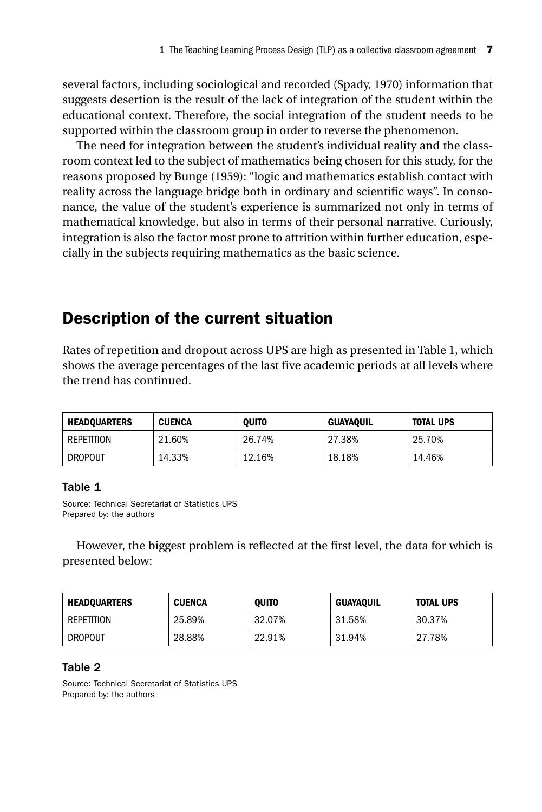several factors, including sociological and recorded (Spady, 1970) information that suggests desertion is the result of the lack of integration of the student within the educational context. Therefore, the social integration of the student needs to be supported within the classroom group in order to reverse the phenomenon.

The need for integration between the student's individual reality and the classroom context led to the subject of mathematics being chosen for this study, for the reasons proposed by Bunge (1959): "logic and mathematics establish contact with reality across the language bridge both in ordinary and scientific ways". In consonance, the value of the student's experience is summarized not only in terms of mathematical knowledge, but also in terms of their personal narrative. Curiously, integration is also the factor most prone to attrition within further education, especially in the subjects requiring mathematics as the basic science.

### Description of the current situation

Rates of repetition and dropout across UPS are high as presented in Table 1, which shows the average percentages of the last five academic periods at all levels where the trend has continued.

| <b>HEADOUARTERS</b> | <b>CUENCA</b> | <b>OUITO</b> | GUAYAOUIL | <b>TOTAL UPS</b> |
|---------------------|---------------|--------------|-----------|------------------|
| REPETITION          | 21.60%        | 26.74%       | 27.38%    | 25.70%           |
| <b>DROPOUT</b>      | 14.33%        | 12.16%       | 18.18%    | 14.46%           |

#### Table 1

Source: Technical Secretariat of Statistics UPS Prepared by: the authors

However, the biggest problem is reflected at the first level, the data for which is presented below:

| <b>HEADOUARTERS</b> | <b>CUENCA</b> | <b>OUITO</b> | <b>GUAYAQUIL</b> | <b>TOTAL UPS</b> |
|---------------------|---------------|--------------|------------------|------------------|
| REPETITION          | 25.89%        | 32.07%       | 31.58%           | 30.37%           |
| <b>DROPOUT</b>      | 28.88%        | 22.91%       | 31.94%           | 27.78%           |

#### Table 2

Source: Technical Secretariat of Statistics UPS Prepared by: the authors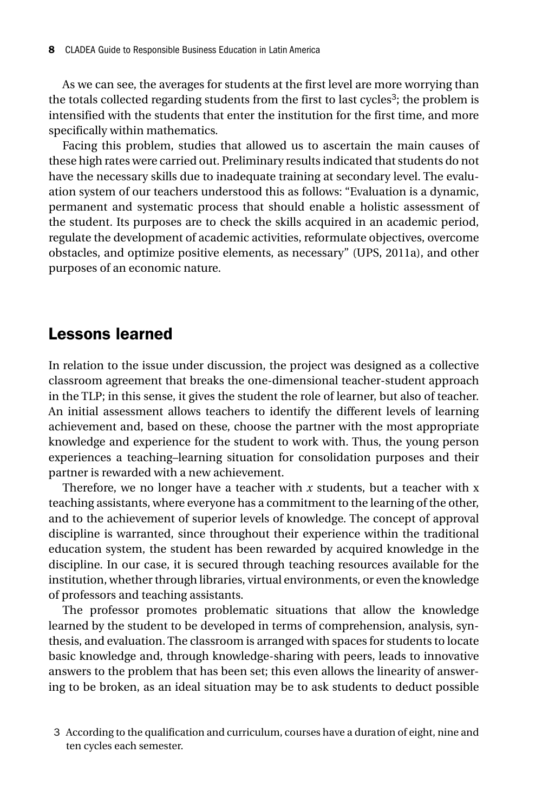As we can see, the averages for students at the first level are more worrying than the totals collected regarding students from the first to last cycles<sup>3</sup>; the problem is intensified with the students that enter the institution for the first time, and more specifically within mathematics.

Facing this problem, studies that allowed us to ascertain the main causes of these high rates were carried out. Preliminary results indicated that students do not have the necessary skills due to inadequate training at secondary level. The evaluation system of our teachers understood this as follows: "Evaluation is a dynamic, permanent and systematic process that should enable a holistic assessment of the student. Its purposes are to check the skills acquired in an academic period, regulate the development of academic activities, reformulate objectives, overcome obstacles, and optimize positive elements, as necessary" (UPS, 2011a), and other purposes of an economic nature.

#### Lessons learned

In relation to the issue under discussion, the project was designed as a collective classroom agreement that breaks the one-dimensional teacher-student approach in the TLP; in this sense, it gives the student the role of learner, but also of teacher. An initial assessment allows teachers to identify the different levels of learning achievement and, based on these, choose the partner with the most appropriate knowledge and experience for the student to work with. Thus, the young person experiences a teaching–learning situation for consolidation purposes and their partner is rewarded with a new achievement.

Therefore, we no longer have a teacher with *x* students, but a teacher with x teaching assistants, where everyone has a commitment to the learning of the other, and to the achievement of superior levels of knowledge. The concept of approval discipline is warranted, since throughout their experience within the traditional education system, the student has been rewarded by acquired knowledge in the discipline. In our case, it is secured through teaching resources available for the institution, whether through libraries, virtual environments, or even the knowledge of professors and teaching assistants.

The professor promotes problematic situations that allow the knowledge learned by the student to be developed in terms of comprehension, analysis, synthesis, and evaluation. The classroom is arranged with spaces for students to locate basic knowledge and, through knowledge-sharing with peers, leads to innovative answers to the problem that has been set; this even allows the linearity of answering to be broken, as an ideal situation may be to ask students to deduct possible

<sup>3</sup> According to the qualification and curriculum, courses have a duration of eight, nine and ten cycles each semester.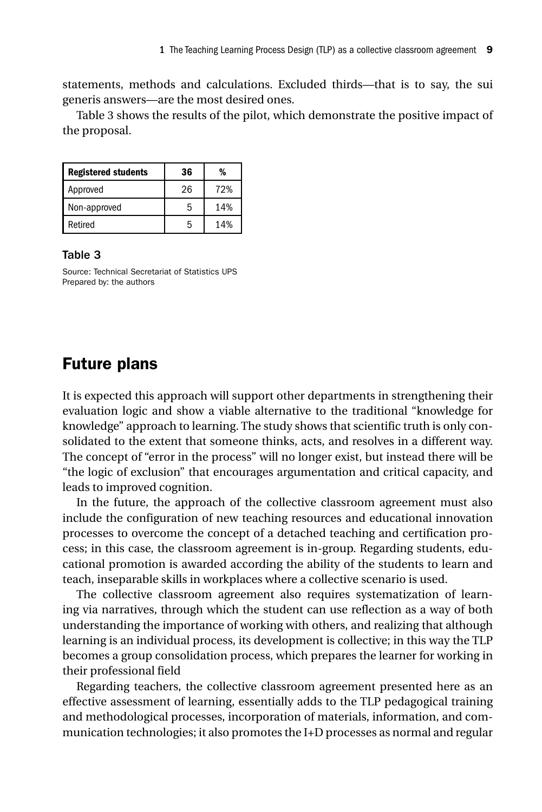statements, methods and calculations. Excluded thirds—that is to say, the sui generis answers—are the most desired ones.

Table 3 shows the results of the pilot, which demonstrate the positive impact of the proposal.

| <b>Registered students</b> | 36 | %   |
|----------------------------|----|-----|
| Approved                   | 26 | 72% |
| Non-approved               | 5  | 14% |
| Retired                    | 5  | 14% |

#### Table 3

Source: Technical Secretariat of Statistics UPS Prepared by: the authors

#### Future plans

It is expected this approach will support other departments in strengthening their evaluation logic and show a viable alternative to the traditional "knowledge for knowledge" approach to learning. The study shows that scientific truth is only consolidated to the extent that someone thinks, acts, and resolves in a different way. The concept of "error in the process" will no longer exist, but instead there will be "the logic of exclusion" that encourages argumentation and critical capacity, and leads to improved cognition.

In the future, the approach of the collective classroom agreement must also include the configuration of new teaching resources and educational innovation processes to overcome the concept of a detached teaching and certification process; in this case, the classroom agreement is in-group. Regarding students, educational promotion is awarded according the ability of the students to learn and teach, inseparable skills in workplaces where a collective scenario is used.

The collective classroom agreement also requires systematization of learning via narratives, through which the student can use reflection as a way of both understanding the importance of working with others, and realizing that although learning is an individual process, its development is collective; in this way the TLP becomes a group consolidation process, which prepares the learner for working in their professional field

Regarding teachers, the collective classroom agreement presented here as an effective assessment of learning, essentially adds to the TLP pedagogical training and methodological processes, incorporation of materials, information, and communication technologies; it also promotes the I+D processes as normal and regular